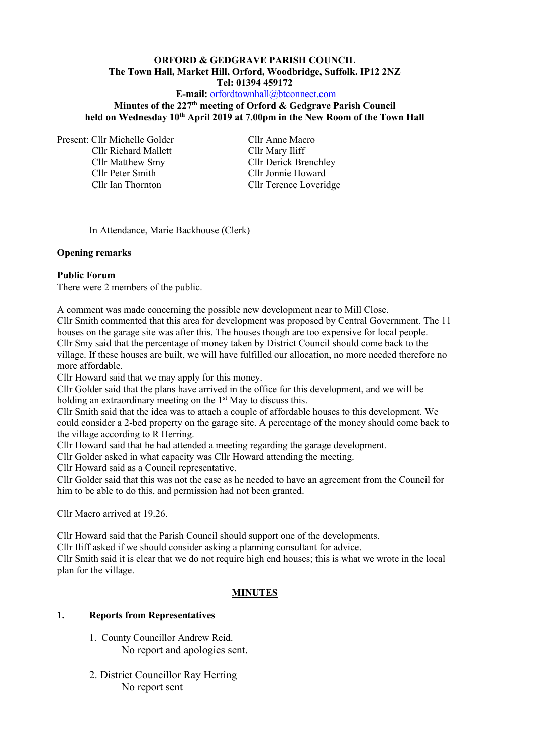## **ORFORD & GEDGRAVE PARISH COUNCIL The Town Hall, Market Hill, Orford, Woodbridge, Suffolk. IP12 2NZ Tel: 01394 459172**

## **E-mail:** [orfordtownhall@btconnect.com](mailto:orfordtownhall@btconnect.com)

## **Minutes of the 227 th meeting of Orford & Gedgrave Parish Council held on Wednesday 10 th April 2019 at 7.00pm in the New Room of the Town Hall**

Present: Cllr Michelle Golder Cllr Anne Macro Cllr Richard Mallett Cllr Mary Iliff Cllr Peter Smith Cllr Jonnie Howard

Cllr Matthew Smy Cllr Derick Brenchley Cllr Ian Thornton Cllr Terence Loveridge

In Attendance, Marie Backhouse (Clerk)

#### **Opening remarks**

#### **Public Forum**

There were 2 members of the public.

A comment was made concerning the possible new development near to Mill Close.

Cllr Smith commented that this area for development was proposed by Central Government. The 11 houses on the garage site was after this. The houses though are too expensive for local people. Cllr Smy said that the percentage of money taken by District Council should come back to the village. If these houses are built, we will have fulfilled our allocation, no more needed therefore no more affordable.

Cllr Howard said that we may apply for this money.

Cllr Golder said that the plans have arrived in the office for this development, and we will be holding an extraordinary meeting on the  $1<sup>st</sup>$  May to discuss this.

Cllr Smith said that the idea was to attach a couple of affordable houses to this development. We could consider a 2-bed property on the garage site. A percentage of the money should come back to the village according to R Herring.

Cllr Howard said that he had attended a meeting regarding the garage development.

Cllr Golder asked in what capacity was Cllr Howard attending the meeting.

Cllr Howard said as a Council representative.

Cllr Golder said that this was not the case as he needed to have an agreement from the Council for him to be able to do this, and permission had not been granted.

Cllr Macro arrived at 19.26.

Cllr Howard said that the Parish Council should support one of the developments. Cllr Iliff asked if we should consider asking a planning consultant for advice. Cllr Smith said it is clear that we do not require high end houses; this is what we wrote in the local plan for the village.

## **MINUTES**

## **1. Reports from Representatives**

- 1. County Councillor Andrew Reid. No report and apologies sent.
- 2. District Councillor Ray Herring No report sent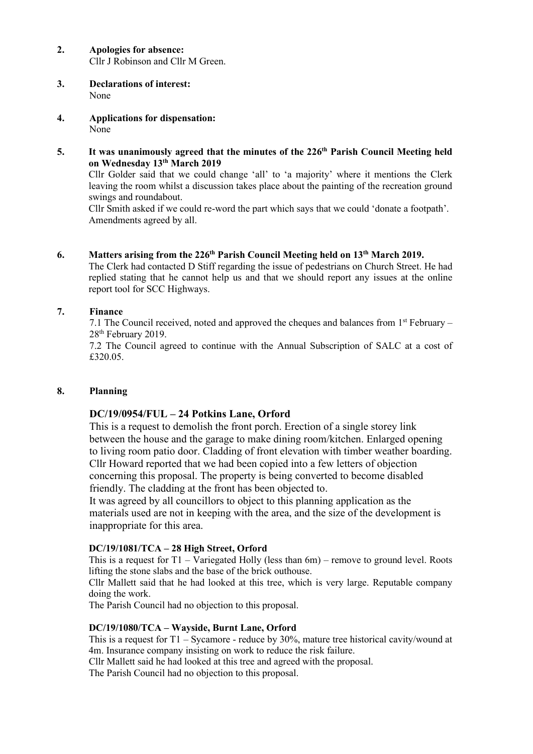#### **2. Apologies for absence:** Cllr J Robinson and Cllr M Green.

- **3. Declarations of interest:** None
- **4. Applications for dispensation:** None
- 5. It was unanimously agreed that the minutes of the 226<sup>th</sup> Parish Council Meeting held **on Wednesday 13 th March 2019**

Cllr Golder said that we could change 'all' to 'a majority' where it mentions the Clerk leaving the room whilst a discussion takes place about the painting of the recreation ground swings and roundabout.

Cllr Smith asked if we could re-word the part which says that we could 'donate a footpath'. Amendments agreed by all.

# **6. Matters arising from the 226 th Parish Council Meeting held on 13 th March 2019.**

The Clerk had contacted D Stiff regarding the issue of pedestrians on Church Street. He had replied stating that he cannot help us and that we should report any issues at the online report tool for SCC Highways.

# **7. Finance**

7.1 The Council received, noted and approved the cheques and balances from  $1<sup>st</sup>$  February – 28<sup>th</sup> February 2019.

7.2 The Council agreed to continue with the Annual Subscription of SALC at a cost of £320.05.

# **8. Planning**

# **DC/19/0954/FUL – 24 Potkins Lane, Orford**

This is a request to demolish the front porch. Erection of a single storey link between the house and the garage to make dining room/kitchen. Enlarged opening to living room patio door. Cladding of front elevation with timber weather boarding. Cllr Howard reported that we had been copied into a few letters of objection concerning this proposal. The property is being converted to become disabled friendly. The cladding at the front has been objected to.

It was agreed by all councillors to object to this planning application as the materials used are not in keeping with the area, and the size of the development is inappropriate for this area.

# **DC/19/1081/TCA – 28 High Street, Orford**

This is a request for  $T1 - Variegated Holly$  (less than 6m) – remove to ground level. Roots lifting the stone slabs and the base of the brick outhouse.

Cllr Mallett said that he had looked at this tree, which is very large. Reputable company doing the work.

The Parish Council had no objection to this proposal.

## **DC/19/1080/TCA – Wayside, Burnt Lane, Orford**

This is a request for T1 – Sycamore - reduce by 30%, mature tree historical cavity/wound at 4m. Insurance company insisting on work to reduce the risk failure.

Cllr Mallett said he had looked at this tree and agreed with the proposal.

The Parish Council had no objection to this proposal.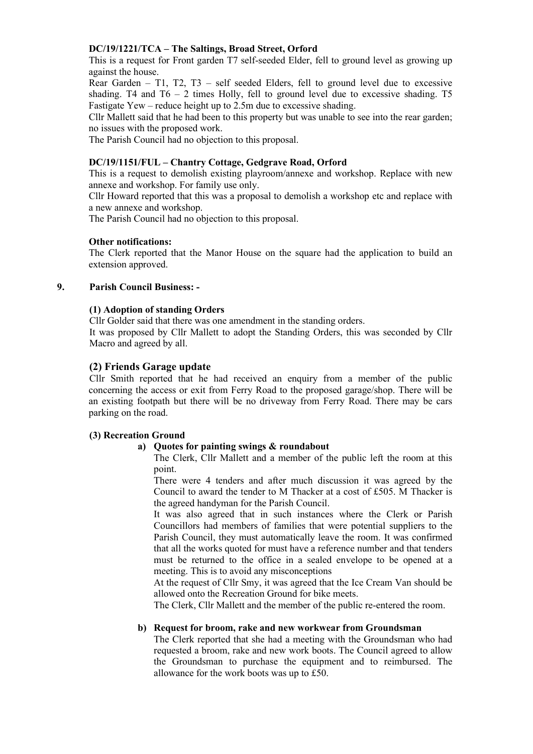## **DC/19/1221/TCA – The Saltings, Broad Street, Orford**

This is a request for Front garden T7 self-seeded Elder, fell to ground level as growing up against the house.

Rear Garden – T1, T2, T3 – self seeded Elders, fell to ground level due to excessive shading. T4 and  $T6 - 2$  times Holly, fell to ground level due to excessive shading. T5 Fastigate Yew – reduce height up to 2.5m due to excessive shading.

Cllr Mallett said that he had been to this property but was unable to see into the rear garden; no issues with the proposed work.

The Parish Council had no objection to this proposal.

## **DC/19/1151/FUL – Chantry Cottage, Gedgrave Road, Orford**

This is a request to demolish existing playroom/annexe and workshop. Replace with new annexe and workshop. For family use only.

Cllr Howard reported that this was a proposal to demolish a workshop etc and replace with a new annexe and workshop.

The Parish Council had no objection to this proposal.

### **Other notifications:**

The Clerk reported that the Manor House on the square had the application to build an extension approved.

### **9. Parish Council Business: -**

### **(1) Adoption of standing Orders**

Cllr Golder said that there was one amendment in the standing orders.

It was proposed by Cllr Mallett to adopt the Standing Orders, this was seconded by Cllr Macro and agreed by all.

## **(2) Friends Garage update**

Cllr Smith reported that he had received an enquiry from a member of the public concerning the access or exit from Ferry Road to the proposed garage/shop. There will be an existing footpath but there will be no driveway from Ferry Road. There may be cars parking on the road.

## **(3) Recreation Ground**

#### **a) Quotes for painting swings & roundabout**

The Clerk, Cllr Mallett and a member of the public left the room at this point.

There were 4 tenders and after much discussion it was agreed by the Council to award the tender to M Thacker at a cost of £505. M Thacker is the agreed handyman for the Parish Council.

It was also agreed that in such instances where the Clerk or Parish Councillors had members of families that were potential suppliers to the Parish Council, they must automatically leave the room. It was confirmed that all the works quoted for must have a reference number and that tenders must be returned to the office in a sealed envelope to be opened at a meeting. This is to avoid any misconceptions

At the request of Cllr Smy, it was agreed that the Ice Cream Van should be allowed onto the Recreation Ground for bike meets.

The Clerk, Cllr Mallett and the member of the public re-entered the room.

#### **b) Request for broom, rake and new workwear from Groundsman**

The Clerk reported that she had a meeting with the Groundsman who had requested a broom, rake and new work boots. The Council agreed to allow the Groundsman to purchase the equipment and to reimbursed. The allowance for the work boots was up to £50.